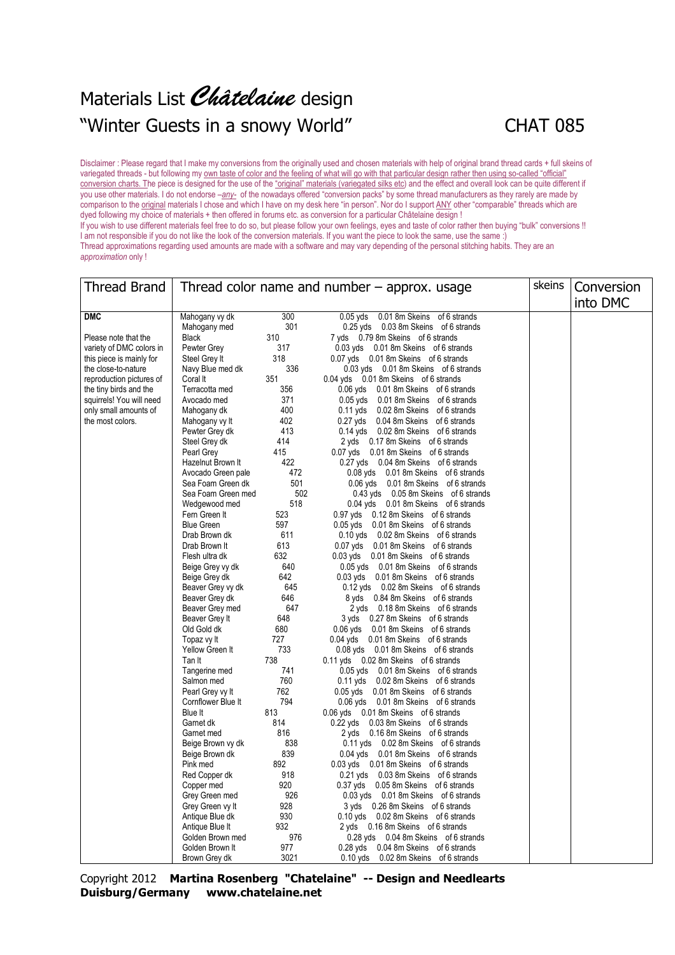## Materials List Châtelaine design "Winter Guests in a snowy World" CHAT 085



Disclaimer : Please regard that I make my conversions from the originally used and chosen materials with help of original brand thread cards + full skeins of variegated threads - but following my own taste of color and the feeling of what will go with that particular design rather then using so-called "official" conversion charts. The piece is designed for the use of the "original" materials (variegated silks etc) and the effect and overall look can be quite different if you use other materials. I do not endorse –*any-* of the nowadays offered "conversion packs" by some thread manufacturers as they rarely are made by comparison to the original materials I chose and which I have on my desk here "in person". Nor do I support ANY other "comparable" threads which are dyed following my choice of materials + then offered in forums etc. as conversion for a particular Châtelaine design ! If you wish to use different materials feel free to do so, but please follow your own feelings, eyes and taste of color rather then buying "bulk" conversions !! I am not responsible if you do not like the look of the conversion materials. If you want the piece to look the same, use the same :) Thread approximations regarding used amounts are made with a software and may vary depending of the personal stitching habits. They are an *approximation* only !

| <b>Thread Brand</b>                       | Thread color name and number $-$ approx. usage |            |                                                                              | skeins | Conversion |
|-------------------------------------------|------------------------------------------------|------------|------------------------------------------------------------------------------|--------|------------|
|                                           |                                                |            |                                                                              |        | into DMC   |
| <b>DMC</b>                                | Mahogany vy dk                                 | 300        | $0.05$ yds<br>0.01 8m Skeins of 6 strands                                    |        |            |
|                                           | Mahogany med                                   | 301        | 0.25 yds 0.03 8m Skeins of 6 strands                                         |        |            |
| Please note that the                      | <b>Black</b>                                   | 310        | 7 yds 0.79 8m Skeins of 6 strands                                            |        |            |
| variety of DMC colors in                  | Pewter Grey                                    | 317        | 0.03 yds 0.01 8m Skeins of 6 strands                                         |        |            |
| this piece is mainly for                  | Steel Grey It                                  | 318        | 0.07 yds 0.01 8m Skeins of 6 strands                                         |        |            |
| the close-to-nature                       | Navy Blue med dk                               | 336        | 0.03 yds 0.01 8m Skeins of 6 strands                                         |        |            |
| reproduction pictures of                  | Coral It                                       | 351        | 0.04 yds 0.01 8m Skeins of 6 strands                                         |        |            |
| the tiny birds and the                    | Terracotta med                                 | 356        | 0.06 yds 0.01 8m Skeins of 6 strands                                         |        |            |
| squirrels! You will need                  | Avocado med                                    | 371<br>400 | 0.05 yds 0.01 8m Skeins of 6 strands                                         |        |            |
| only small amounts of<br>the most colors. | Mahogany dk<br>Mahogany vy It                  | 402        | 0.11 yds 0.02 8m Skeins of 6 strands<br>0.27 yds 0.04 8m Skeins of 6 strands |        |            |
|                                           | Pewter Grey dk                                 | 413        | 0.14 yds 0.02 8m Skeins of 6 strands                                         |        |            |
|                                           | Steel Grey dk                                  | 414        | 2 yds 0.17 8m Skeins of 6 strands                                            |        |            |
|                                           | Pearl Grey                                     | 415        | 0.07 yds 0.01 8m Skeins of 6 strands                                         |        |            |
|                                           | Hazelnut Brown It                              | 422        | 0.27 yds 0.04 8m Skeins of 6 strands                                         |        |            |
|                                           | Avocado Green pale                             | 472        | 0.08 yds 0.01 8m Skeins of 6 strands                                         |        |            |
|                                           | Sea Foam Green dk                              | 501        | 0.06 yds 0.01 8m Skeins of 6 strands                                         |        |            |
|                                           | Sea Foam Green med                             | 502        | 0.43 yds 0.05 8m Skeins of 6 strands                                         |        |            |
|                                           | Wedgewood med                                  | 518        | 0.04 yds 0.01 8m Skeins of 6 strands                                         |        |            |
|                                           | Fern Green It                                  | 523        | 0.97 yds 0.12 8m Skeins of 6 strands                                         |        |            |
|                                           | <b>Blue Green</b>                              | 597        | 0.05 yds 0.01 8m Skeins of 6 strands                                         |        |            |
|                                           | Drab Brown dk                                  | 611        | 0.10 yds 0.02 8m Skeins of 6 strands                                         |        |            |
|                                           | Drab Brown It                                  | 613        | 0.07 yds 0.01 8m Skeins of 6 strands                                         |        |            |
|                                           | Flesh ultra dk                                 | 632        | 0.03 yds 0.01 8m Skeins of 6 strands                                         |        |            |
|                                           | Beige Grey vy dk                               | 640        | 0.05 yds 0.01 8m Skeins of 6 strands                                         |        |            |
|                                           | Beige Grey dk                                  | 642        | 0.03 yds 0.01 8m Skeins of 6 strands                                         |        |            |
|                                           | Beaver Grey vy dk                              | 645        | 0.12 yds 0.02 8m Skeins of 6 strands                                         |        |            |
|                                           | Beaver Grey dk                                 | 646        | 8 yds 0.84 8m Skeins of 6 strands                                            |        |            |
|                                           | Beaver Grey med                                | 647<br>648 | 2 yds 0.18 8m Skeins of 6 strands                                            |        |            |
|                                           | Beaver Grey It<br>Old Gold dk                  | 680        | 3 yds 0.27 8m Skeins of 6 strands<br>0.06 yds 0.01 8m Skeins of 6 strands    |        |            |
|                                           | Topaz vy It                                    | 727        | 0.04 yds 0.01 8m Skeins of 6 strands                                         |        |            |
|                                           | Yellow Green It                                | 733        | 0.08 yds 0.01 8m Skeins of 6 strands                                         |        |            |
|                                           | Tan It                                         | 738        | 0.11 yds 0.02 8m Skeins of 6 strands                                         |        |            |
|                                           | Tangerine med                                  | 741        | 0.05 yds 0.01 8m Skeins of 6 strands                                         |        |            |
|                                           | Salmon med                                     | 760        | 0.11 yds 0.02 8m Skeins of 6 strands                                         |        |            |
|                                           | Pearl Grey vy It                               | 762        | 0.05 yds 0.01 8m Skeins of 6 strands                                         |        |            |
|                                           | Cornflower Blue It                             | 794        | 0.06 yds 0.01 8m Skeins of 6 strands                                         |        |            |
|                                           | Blue It                                        | 813        | 0.06 yds 0.01 8m Skeins of 6 strands                                         |        |            |
|                                           | Garnet dk                                      | 814        | 0.22 yds 0.03 8m Skeins of 6 strands                                         |        |            |
|                                           | Garnet med                                     | 816        | 2 yds 0.16 8m Skeins of 6 strands                                            |        |            |
|                                           | Beige Brown vy dk                              | 838        | 0.11 yds 0.02 8m Skeins of 6 strands                                         |        |            |
|                                           | Beige Brown dk                                 | 839        | 0.04 yds 0.01 8m Skeins of 6 strands                                         |        |            |
|                                           | Pink med                                       | 892        | 0.03 yds 0.01 8m Skeins of 6 strands                                         |        |            |
|                                           | Red Copper dk                                  | 918        | 0.21 yds 0.03 8m Skeins of 6 strands                                         |        |            |
|                                           | Copper med                                     | 920        | 0.37 yds 0.05 8m Skeins of 6 strands                                         |        |            |
|                                           | Grey Green med                                 | 926<br>928 | 0.03 yds 0.01 8m Skeins of 6 strands<br>3 yds 0.26 8m Skeins of 6 strands    |        |            |
|                                           | Grey Green vy It<br>Antique Blue dk            | 930        | 0.10 yds 0.02 8m Skeins of 6 strands                                         |        |            |
|                                           | Antique Blue It                                | 932        | 2 yds 0.16 8m Skeins of 6 strands                                            |        |            |
|                                           | Golden Brown med                               | 976        | 0.28 yds 0.04 8m Skeins of 6 strands                                         |        |            |
|                                           | Golden Brown It                                | 977        | 0.28 yds 0.04 8m Skeins of 6 strands                                         |        |            |
|                                           | Brown Grey dk                                  | 3021       | 0.10 yds 0.02 8m Skeins of 6 strands                                         |        |            |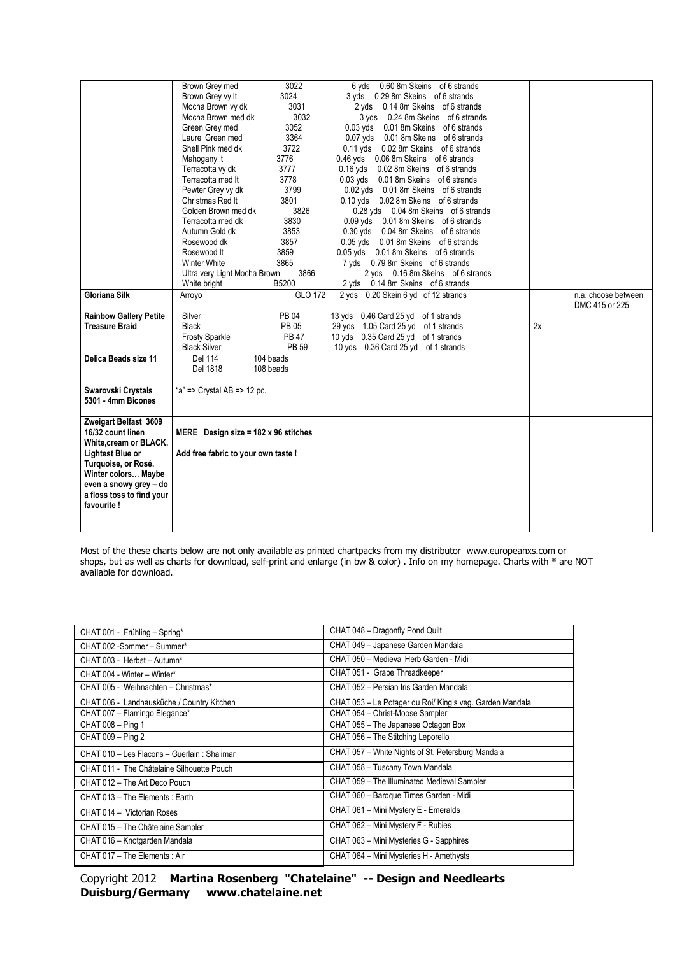|                               | Brown Grey med                              | 3022         | 6 yds 0.60 8m Skeins of 6 strands         |    |                     |
|-------------------------------|---------------------------------------------|--------------|-------------------------------------------|----|---------------------|
|                               | Brown Grey vy It                            | 3024         | 3 yds 0.29 8m Skeins of 6 strands         |    |                     |
|                               | Mocha Brown vy dk                           | 3031         | 2 yds 0.14 8m Skeins of 6 strands         |    |                     |
|                               | Mocha Brown med dk                          | 3032         | 3 yds 0.24 8m Skeins of 6 strands         |    |                     |
|                               | Green Grey med                              | 3052         | $0.03$ yds<br>0.01 8m Skeins of 6 strands |    |                     |
|                               | Laurel Green med                            | 3364         | 0.07 yds 0.01 8m Skeins of 6 strands      |    |                     |
|                               | Shell Pink med dk                           | 3722         | 0.11 yds 0.02 8m Skeins of 6 strands      |    |                     |
|                               | Mahogany It                                 | 3776         | 0.46 yds 0.06 8m Skeins of 6 strands      |    |                     |
|                               | Terracotta vy dk                            | 3777         | 0.16 yds 0.02 8m Skeins of 6 strands      |    |                     |
|                               | Terracotta med It                           | 3778         | 0.03 yds 0.01 8m Skeins of 6 strands      |    |                     |
|                               | Pewter Grey vy dk                           | 3799         | 0.02 yds 0.01 8m Skeins of 6 strands      |    |                     |
|                               | Christmas Red It                            | 3801         | 0.10 yds 0.02 8m Skeins of 6 strands      |    |                     |
|                               | Golden Brown med dk                         | 3826         | 0.28 yds 0.04 8m Skeins of 6 strands      |    |                     |
|                               | Terracotta med dk                           | 3830         | 0.09 yds 0.01 8m Skeins of 6 strands      |    |                     |
|                               | Autumn Gold dk                              | 3853         | 0.30 yds 0.04 8m Skeins of 6 strands      |    |                     |
|                               | Rosewood dk                                 | 3857         | 0.05 yds 0.01 8m Skeins of 6 strands      |    |                     |
|                               | Rosewood It                                 | 3859         | 0.05 yds 0.01 8m Skeins of 6 strands      |    |                     |
|                               | <b>Winter White</b>                         | 3865         | 7 yds 0.79 8m Skeins of 6 strands         |    |                     |
|                               | Ultra very Light Mocha Brown                | 3866         | 2 yds 0.16 8m Skeins of 6 strands         |    |                     |
|                               | White bright                                | B5200        | 2 yds 0.14 8m Skeins of 6 strands         |    |                     |
| <b>Gloriana Silk</b>          | Arroyo                                      | GLO 172      | 2 yds 0.20 Skein 6 yd of 12 strands       |    | n.a. choose between |
|                               |                                             |              |                                           |    | DMC 415 or 225      |
| <b>Rainbow Gallery Petite</b> | Silver                                      | PB 04        | 13 yds 0.46 Card 25 yd of 1 strands       |    |                     |
| <b>Treasure Braid</b>         | <b>Black</b>                                | <b>PB 05</b> | 29 yds 1.05 Card 25 yd of 1 strands       | 2x |                     |
|                               | <b>Frosty Sparkle</b>                       | <b>PB 47</b> | 10 yds 0.35 Card 25 yd of 1 strands       |    |                     |
|                               | <b>Black Silver</b>                         | PB 59        | 10 yds 0.36 Card 25 yd of 1 strands       |    |                     |
| Delica Beads size 11          | Del 114                                     | 104 beads    |                                           |    |                     |
|                               | Del 1818                                    | 108 beads    |                                           |    |                     |
|                               |                                             |              |                                           |    |                     |
| Swarovski Crystals            | "a" => Crystal AB => 12 pc.                 |              |                                           |    |                     |
| 5301 - 4mm Bicones            |                                             |              |                                           |    |                     |
|                               |                                             |              |                                           |    |                     |
| Zweigart Belfast 3609         |                                             |              |                                           |    |                     |
| 16/32 count linen             | MERE Design size = $182 \times 96$ stitches |              |                                           |    |                     |
| White, cream or BLACK.        |                                             |              |                                           |    |                     |
| Lightest Blue or              | Add free fabric to your own taste !         |              |                                           |    |                     |
| Turquoise, or Rosé.           |                                             |              |                                           |    |                     |
| Winter colors Maybe           |                                             |              |                                           |    |                     |
| even a snowy grey - do        |                                             |              |                                           |    |                     |
| a floss toss to find your     |                                             |              |                                           |    |                     |
| favourite!                    |                                             |              |                                           |    |                     |
|                               |                                             |              |                                           |    |                     |
|                               |                                             |              |                                           |    |                     |

Most of the these charts below are not only available as printed chartpacks from my distributor www.europeanxs.com or shops, but as well as charts for download, self-print and enlarge (in bw & color) . Info on my homepage. Charts with \* are NOT available for download.

| CHAT 001 - Frühling - Spring*                | CHAT 048 - Dragonfly Pond Quilt                          |
|----------------------------------------------|----------------------------------------------------------|
| CHAT 002 -Sommer - Summer*                   | CHAT 049 - Japanese Garden Mandala                       |
| CHAT 003 - Herbst - Autumn*                  | CHAT 050 - Medieval Herb Garden - Midi                   |
| CHAT 004 - Winter - Winter*                  | CHAT 051 - Grape Threadkeeper                            |
| CHAT 005 - Weihnachten - Christmas*          | CHAT 052 - Persian Iris Garden Mandala                   |
| CHAT 006 - Landhausküche / Country Kitchen   | CHAT 053 - Le Potager du Roi/ King's veg. Garden Mandala |
| CHAT 007 - Flamingo Elegance*                | CHAT 054 - Christ-Moose Sampler                          |
| CHAT 008 - Ping 1                            | CHAT 055 - The Japanese Octagon Box                      |
| CHAT 009 - Ping 2                            | CHAT 056 - The Stitching Leporello                       |
| CHAT 010 - Les Flacons - Guerlain : Shalimar | CHAT 057 - White Nights of St. Petersburg Mandala        |
| CHAT 011 - The Châtelaine Silhouette Pouch   | CHAT 058 - Tuscany Town Mandala                          |
| CHAT 012 - The Art Deco Pouch                | CHAT 059 - The Illuminated Medieval Sampler              |
| CHAT 013 - The Elements: Earth               | CHAT 060 - Baroque Times Garden - Midi                   |
| CHAT 014 - Victorian Roses                   | CHAT 061 - Mini Mystery E - Emeralds                     |
| CHAT 015 - The Châtelaine Sampler            | CHAT 062 - Mini Mystery F - Rubies                       |
| CHAT 016 - Knotgarden Mandala                | CHAT 063 - Mini Mysteries G - Sapphires                  |
| CHAT 017 - The Elements: Air                 | CHAT 064 - Mini Mysteries H - Amethysts                  |

|                                     | Copyright 2012 Martina Rosenberg "Chatelaine" -- Design and Needlearts |
|-------------------------------------|------------------------------------------------------------------------|
| Duisburg/Germany www.chatelaine.net |                                                                        |